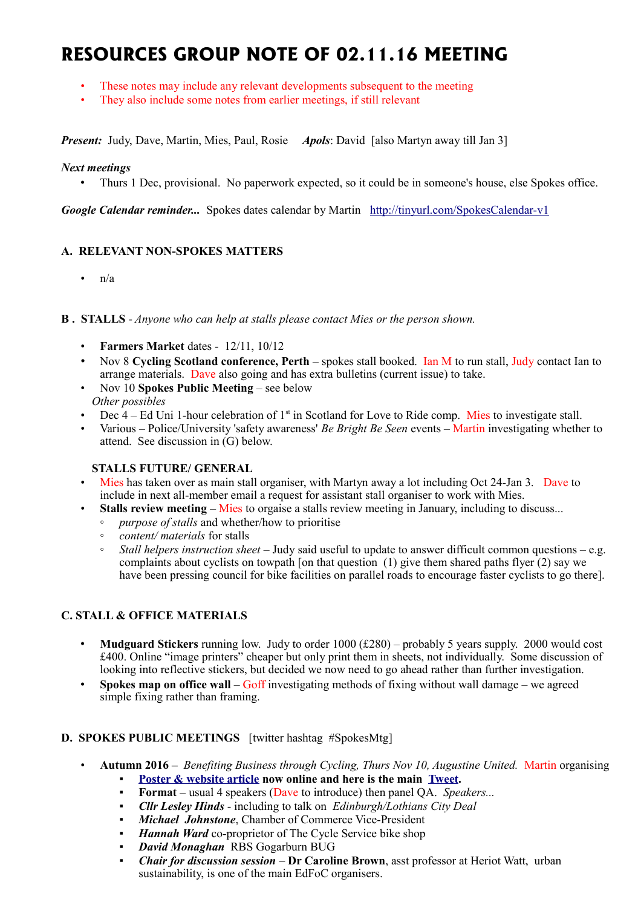# **RESOURCES GROUP NOTE OF 02.11.16 MEETING**

- These notes may include any relevant developments subsequent to the meeting
- They also include some notes from earlier meetings, if still relevant

*Present:* Judy, Dave, Martin, Mies, Paul, Rosie *Apols*: David [also Martyn away till Jan 3]

#### *Next meetings*

• Thurs 1 Dec, provisional. No paperwork expected, so it could be in someone's house, else Spokes office.

*Google Calendar reminder...* Spokes dates calendar by Martin <http://tinyurl.com/SpokesCalendar-v1>

## **A. RELEVANT NON-SPOKES MATTERS**

•  $n/a$ 

**B . STALLS** - *Anyone who can help at stalls please contact Mies or the person shown.*

- **Farmers Market** dates 12/11, 10/12
- Nov 8 **[Cycling Scotland conference, Perth](http://cyclingscotlandconference.org/)** spokes stall booked. Ian M to run stall, Judy contact Ian to arrange materials. Dave also going and has extra bulletins (current issue) to take.
- Nov 10 **Spokes Public Meeting** see below *Other possibles*
- Dec  $4 Ed$  Uni 1-hour celebration of  $1<sup>st</sup>$  in Scotland for Love to Ride comp. Mies to investigate stall.
- Various Police/University 'safety awareness' *Be Bright Be Seen* events Martin investigating whether to attend. See discussion in (G) below.

## **STALLS FUTURE/ GENERAL**

- Mies has taken over as main stall organiser, with Martyn away a lot including Oct 24-Jan 3. Dave to include in next all-member email a request for assistant stall organiser to work with Mies.
- **Stalls review meeting** Mies to orgaise a stalls review meeting in January, including to discuss...
	- *purpose of stalls* and whether/how to prioritise
	- *content/ materials* for stalls
	- *Stall helpers instruction sheet*  Judy said useful to update to answer difficult common questions e.g. complaints about cyclists on towpath [on that question (1) give them shared paths flyer  $(2)$  say we have been pressing council for bike facilities on parallel roads to encourage faster cyclists to go there].

## **C. STALL & OFFICE MATERIALS**

- **Mudguard Stickers** running low. Judy to order 1000 (£280) probably 5 years supply. 2000 would cost £400. Online "image printers" cheaper but only print them in sheets, not individually. Some discussion of looking into reflective stickers, but decided we now need to go ahead rather than further investigation.
- **Spokes map on office wall** Goff investigating methods of fixing without wall damage we agreed simple fixing rather than framing.

## **D. SPOKES PUBLIC MEETINGS** [twitter hashtag #SpokesMtg]

- **Autumn 2016 –** *Benefiting Business through Cycling, Thurs Nov 10, Augustine United.* Martin organising
	- **[Poster & website article](http://www.spokes.org.uk/2016/08/public-meeting-benefiting-business-through-cycling/) now online and here is the main [Tweet.](https://twitter.com/SpokesLothian/status/769474111689089024)**
	- **Format** usual 4 speakers (Dave to introduce) then panel QA. *Speakers...*
	- *Cllr Lesley Hinds* including to talk on *Edinburgh/Lothians City Deal*
	- **Michael Johnstone**, Chamber of Commerce Vice-President
	- *Hannah Ward* co-proprietor of The Cycle Service bike shop
	- *David Monaghan* RBS Gogarburn BUG
	- *Chair for discussion session Dr Caroline Brown, asst professor at Heriot Watt, urban* sustainability, is one of the main EdFoC organisers.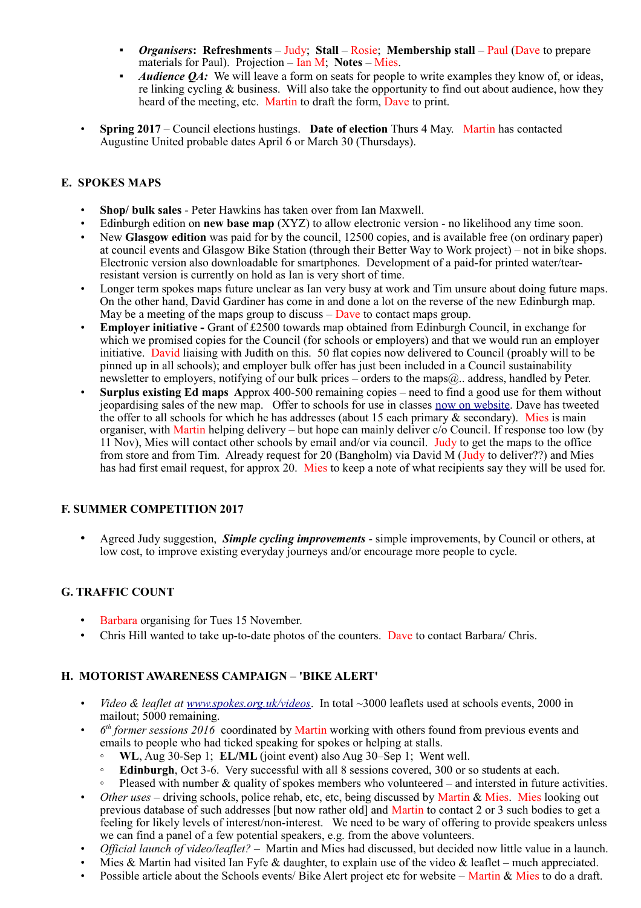- *Organisers*: Refreshments Judy; Stall Rosie; Membership stall Paul (Dave to prepare) materials for Paul). Projection – Ian M; **Notes** – Mies.
- *Audience OA:* We will leave a form on seats for people to write examples they know of, or ideas, re linking cycling & business. Will also take the opportunity to find out about audience, how they heard of the meeting, etc. Martin to draft the form, Dave to print.
- **Spring 2017** Council elections hustings. **Date of election** Thurs 4 May. Martin has contacted Augustine United probable dates April 6 or March 30 (Thursdays).

# **E. SPOKES MAPS**

- **Shop/ bulk sales** Peter Hawkins has taken over from Ian Maxwell.
- Edinburgh edition on **new base map** (XYZ) to allow electronic version no likelihood any time soon.
- New **Glasgow edition** was paid for by the council, 12500 copies, and is available free (on ordinary paper) at council events and Glasgow Bike Station (through their Better Way to Work project) – not in bike shops. Electronic version also downloadable for smartphones. Development of a paid-for printed water/tearresistant version is currently on hold as Ian is very short of time.
- Longer term spokes maps future unclear as Ian very busy at work and Tim unsure about doing future maps. On the other hand, David Gardiner has come in and done a lot on the reverse of the new Edinburgh map. May be a meeting of the maps group to discuss  $-\text{Dave}$  to contact maps group.
- **Employer initiative -** Grant of £2500 towards map obtained from Edinburgh Council, in exchange for which we promised copies for the Council (for schools or employers) and that we would run an employer initiative. David liaising with Judith on this. 50 flat copies now delivered to Council (proably will to be pinned up in all schools); and employer bulk offer has just been included in a Council sustainability newsletter to employers, notifying of our bulk prices – orders to the maps@.. address, handled by Peter.
- **Surplus existing Ed maps A**pprox 400-500 remaining copies need to find a good use for them without jeopardising sales of the new map. Offer to schools for use in classes [now on website.](http://www.spokes.org.uk/spokes-maps/9th-edition-edinburgh-maps-schools-offer/) Dave has tweeted the offer to all schools for which he has addresses (about 15 each primary  $\&$  secondary). Mies is main organiser, with Martin helping delivery – but hope can mainly deliver c/o Council. If response too low (by 11 Nov), Mies will contact other schools by email and/or via council. Judy to get the maps to the office from store and from Tim. Already request for 20 (Bangholm) via David M (Judy to deliver??) and Mies has had first email request, for approx 20. Mies to keep a note of what recipients say they will be used for.

## **F. SUMMER COMPETITION 2017**

• Agreed Judy suggestion, *Simple cycling improvements* - simple improvements, by Council or others, at low cost, to improve existing everyday journeys and/or encourage more people to cycle.

## **G. TRAFFIC COUNT**

- Barbara organising for Tues 15 November.
- Chris Hill wanted to take up-to-date photos of the counters. Dave to contact Barbara/ Chris.

## **H. MOTORIST AWARENESS CAMPAIGN – 'BIKE ALERT'**

- *Video & leaflet at [www.spokes.org.uk/videos](http://www.spokes.org.uk/videos)*. In total ~3000 leaflets used at schools events, 2000 in mailout; 5000 remaining.
- *6*  $6<sup>th</sup>$  *former sessions 2016* coordinated by Martin working with others found from previous events and emails to people who had ticked speaking for spokes or helping at stalls.
	- **WL**, Aug 30-Sep 1; **EL/ML** (joint event) also Aug 30–Sep 1; Went well.
	- **Edinburgh**, Oct 3-6. Very successful with all 8 sessions covered, 300 or so students at each.
	- Pleased with number & quality of spokes members who volunteered and intersted in future activities.
- *Other uses* driving schools, police rehab, etc, etc, being discussed by Martin & Mies. Mies looking out previous database of such addresses [but now rather old] and Martin to contact 2 or 3 such bodies to get a feeling for likely levels of interest/non-interest. We need to be wary of offering to provide speakers unless we can find a panel of a few potential speakers, e.g. from the above volunteers.
- *Official launch of video/leaflet?* Martin and Mies had discussed, but decided now little value in a launch.
- Mies & Martin had visited Ian Fyfe & daughter, to explain use of the video & leaflet much appreciated.
- Possible article about the Schools events/ Bike Alert project etc for website Martin & Mies to do a draft.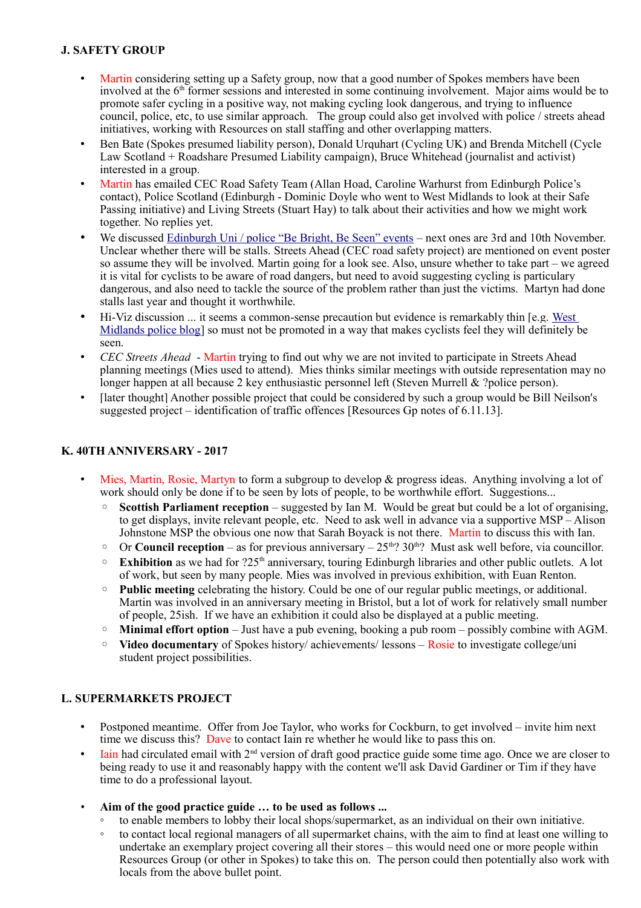# **J. SAFETY GROUP**

- Martin considering setting up a Safety group, now that a good number of Spokes members have been involved at the 6<sup>th</sup> former sessions and interested in some continuing involvement. Major aims would be to promote safer cycling in a positive way, not making cycling look dangerous, and trying to influence council, police, etc, to use similar approach. The group could also get involved with police / streets ahead initiatives, working with Resources on stall staffing and other overlapping matters.
- Ben Bate (Spokes presumed liability person), Donald Urquhart (Cycling UK) and Brenda Mitchell (Cycle Law Scotland + Roadshare Presumed Liability campaign), Bruce Whitehead (journalist and activist) interested in a group.
- Martin has emailed CEC Road Safety Team (Allan Hoad, Caroline Warhurst from Edinburgh Police's contact), Police Scotland (Edinburgh - Dominic Doyle who went to West Midlands to look at their Safe Passing initiative) and Living Streets (Stuart Hay) to talk about their activities and how we might work together. No replies yet.
- We discussed [Edinburgh Uni / police "Be Bright, Be Seen" events](http://www.ed.ac.uk/transport/news/be-bright-be-seen-and-what-cyclist)  next ones are 3rd and 10th November. Unclear whether there will be stalls. Streets Ahead (CEC road safety project) are mentioned on event poster so assume they will be involved. Martin going for a look see. Also, unsure whether to take part – we agreed it is vital for cyclists to be aware of road dangers, but need to avoid suggesting cycling is particulary dangerous, and also need to tackle the source of the problem rather than just the victims. Martyn had done stalls last year and thought it worthwhile.
- Hi-Viz discussion ... it seems a common-sense precaution but evidence is remarkably thin [e.g. [West](https://trafficwmp.wordpress.com/)  [Midlands police blog\]](https://trafficwmp.wordpress.com/) so must not be promoted in a way that makes cyclists feel they will definitely be seen.
- *CEC Streets Ahead* Martin trying to find out why we are not invited to participate in Streets Ahead planning meetings (Mies used to attend). Mies thinks similar meetings with outside representation may no longer happen at all because 2 key enthusiastic personnel left (Steven Murrell & ?police person).
- [later thought] Another possible project that could be considered by such a group would be Bill Neilson's suggested project – identification of traffic offences [Resources Gp notes of 6.11.13].

#### **K. 40TH ANNIVERSARY - 2017**

- Mies, Martin, Rosie, Martyn to form a subgroup to develop & progress ideas. Anything involving a lot of work should only be done if to be seen by lots of people, to be worthwhile effort. Suggestions...
	- **Scottish Parliament reception** suggested by Ian M. Would be great but could be a lot of organising, to get displays, invite relevant people, etc. Need to ask well in advance via a supportive MSP – Alison Johnstone MSP the obvious one now that Sarah Boyack is not there. Martin to discuss this with Ian.
	- $\degree$  Or **Council reception** as for previous anniversary  $25<sup>th</sup>$ ? 30<sup>th</sup>? Must ask well before, via councillor.
	- **Exhibition** as we had for ?25th anniversary, touring Edinburgh libraries and other public outlets. A lot of work, but seen by many people. Mies was involved in previous exhibition, with Euan Renton.
	- **Public meeting** celebrating the history. Could be one of our regular public meetings, or additional. Martin was involved in an anniversary meeting in Bristol, but a lot of work for relatively small number of people, 25ish. If we have an exhibition it could also be displayed at a public meeting.
	- **Minimal effort option** Just have a pub evening, booking a pub room possibly combine with AGM.
	- **Video documentary** of Spokes history/ achievements/ lessons Rosie to investigate college/uni student project possibilities.

#### **L. SUPERMARKETS PROJECT**

- Postponed meantime. Offer from Joe Taylor, who works for Cockburn, to get involved invite him next time we discuss this? Dave to contact Iain re whether he would like to pass this on.
- $\bullet$  Iain had circulated email with  $2^{nd}$  version of draft good practice guide some time ago. Once we are closer to being ready to use it and reasonably happy with the content we'll ask David Gardiner or Tim if they have time to do a professional layout.
- **Aim of the good practice guide … to be used as follows ...**
	- to enable members to lobby their local shops/supermarket, as an individual on their own initiative.
	- to contact local regional managers of all supermarket chains, with the aim to find at least one willing to undertake an exemplary project covering all their stores – this would need one or more people within Resources Group (or other in Spokes) to take this on. The person could then potentially also work with locals from the above bullet point.